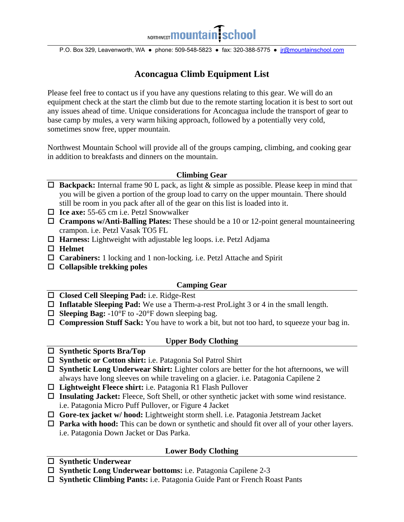# NORTHWEST**MOUNTA**

P.O. Box 329, Leavenworth, WA ● phone: 509-548-5823 ● fax: 320-388-5775 ● jr@mountainschool.com

# **Aconcagua Climb Equipment List**

Please feel free to contact us if you have any questions relating to this gear. We will do an equipment check at the start the climb but due to the remote starting location it is best to sort out any issues ahead of time. Unique considerations for Aconcagua include the transport of gear to base camp by mules, a very warm hiking approach, followed by a potentially very cold, sometimes snow free, upper mountain.

Northwest Mountain School will provide all of the groups camping, climbing, and cooking gear in addition to breakfasts and dinners on the mountain.

#### **Climbing Gear**

- **Backpack:** Internal frame 90 L pack, as light & simple as possible. Please keep in mind that you will be given a portion of the group load to carry on the upper mountain. There should still be room in you pack after all of the gear on this list is loaded into it.
- **Ice axe:** 55-65 cm i.e. Petzl Snowwalker
- **Crampons w/Anti-Balling Plates:** These should be a 10 or 12-point general mountaineering crampon. i.e. Petzl Vasak TO5 FL
- **Harness:** Lightweight with adjustable leg loops. i.e. Petzl Adjama
- **Helmet**
- **Carabiners:** 1 locking and 1 non-locking. i.e. Petzl Attache and Spirit
- **Collapsible trekking poles**

#### **Camping Gear**

- **Closed Cell Sleeping Pad:** i.e. Ridge-Rest
- **Inflatable Sleeping Pad:** We use a Therm-a-rest ProLight 3 or 4 in the small length.
- $\Box$  **Sleeping Bag:** -10°F to -20°F down sleeping bag.
- **Compression Stuff Sack:** You have to work a bit, but not too hard, to squeeze your bag in.

#### **Upper Body Clothing**

- **Synthetic Sports Bra/Top**
- **Synthetic or Cotton shirt:** i.e. Patagonia Sol Patrol Shirt
- **Synthetic Long Underwear Shirt:** Lighter colors are better for the hot afternoons, we will always have long sleeves on while traveling on a glacier. i.e. Patagonia Capilene 2
- **Lightweight Fleece shirt:** i.e. Patagonia R1 Flash Pullover
- **Insulating Jacket:** Fleece, Soft Shell, or other synthetic jacket with some wind resistance. i.e. Patagonia Micro Puff Pullover, or Figure 4 Jacket
- **Gore-tex jacket w/ hood:** Lightweight storm shell. i.e. Patagonia Jetstream Jacket
- **Parka with hood:** This can be down or synthetic and should fit over all of your other layers. i.e. Patagonia Down Jacket or Das Parka.

## **Lower Body Clothing**

- **Synthetic Underwear**
- **Synthetic Long Underwear bottoms:** i.e. Patagonia Capilene 2-3
- **Synthetic Climbing Pants:** i.e. Patagonia Guide Pant or French Roast Pants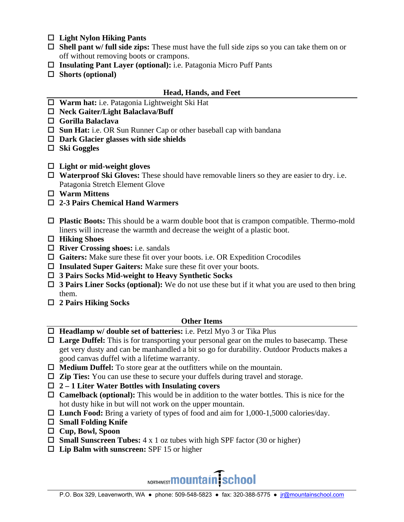- **Light Nylon Hiking Pants**
- **Shell pant w/ full side zips:** These must have the full side zips so you can take them on or off without removing boots or crampons.
- **Insulating Pant Layer (optional):** i.e. Patagonia Micro Puff Pants
- **Shorts (optional)**

### **Head, Hands, and Feet**

- **Warm hat:** i.e. Patagonia Lightweight Ski Hat
- **Neck Gaiter/Light Balaclava/Buff**
- **Gorilla Balaclava**
- □ **Sun Hat:** i.e. OR Sun Runner Cap or other baseball cap with bandana
- **Dark Glacier glasses with side shields**
- **Ski Goggles**
- **Light or mid-weight gloves**
- **Waterproof Ski Gloves:** These should have removable liners so they are easier to dry. i.e. Patagonia Stretch Element Glove
- **Warm Mittens**
- **2-3 Pairs Chemical Hand Warmers**
- **Plastic Boots:** This should be a warm double boot that is crampon compatible. Thermo-mold liners will increase the warmth and decrease the weight of a plastic boot.
- **Hiking Shoes**
- **River Crossing shoes:** i.e. sandals
- **Gaiters:** Make sure these fit over your boots. i.e. OR Expedition Crocodiles
- **Insulated Super Gaiters:** Make sure these fit over your boots.
- **3 Pairs Socks Mid-weight to Heavy Synthetic Socks**
- **3 Pairs Liner Socks (optional):** We do not use these but if it what you are used to then bring them.
- **2 Pairs Hiking Socks**

#### **Other Items**

- **Headlamp w/ double set of batteries:** i.e. Petzl Myo 3 or Tika Plus
- **Large Duffel:** This is for transporting your personal gear on the mules to basecamp. These get very dusty and can be manhandled a bit so go for durability. Outdoor Products makes a good canvas duffel with a lifetime warranty.
- **Medium Duffel:** To store gear at the outfitters while on the mountain.
- **Zip Ties:** You can use these to secure your duffels during travel and storage.
- **2 1 Liter Water Bottles with Insulating covers**
- **Camelback (optional):** This would be in addition to the water bottles. This is nice for the hot dusty hike in but will not work on the upper mountain.
- **Lunch Food:** Bring a variety of types of food and aim for 1,000-1,5000 calories/day.
- **Small Folding Knife**
- **Cup, Bowl, Spoon**
- **Small Sunscreen Tubes:** 4 x 1 oz tubes with high SPF factor (30 or higher)
- **Lip Balm with sunscreen:** SPF 15 or higher